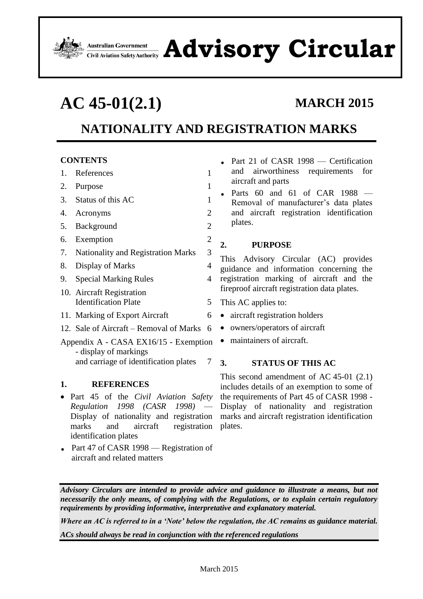

# Advistralian Government **Advisor Safety Auditority Circular**

# **AC 45-01(2.1) MARCH 2015**

# **NATIONALITY AND REGISTRATION MARKS**

# **CONTENTS**

- 1. [References](#page-0-0) 1
- 2. [Purpose](#page-0-1) 1
- 3. [Status of this AC](#page-0-2) 1
- 4. [Acronyms](#page-1-0) 2
- 5. [Background](#page-1-1) 2
- 6. [Exemption](#page-1-2) 2
- 7. [Nationality and Registration Marks](#page-2-0) 3
- 8. [Display of Marks](#page-3-0) 4
- 9. [Special Marking Rules](#page-3-1) 4
- 10. [Aircraft Registration](#page-4-0) [Identification Plate](#page-4-0) 5
- 11. [Marking of Export Aircraft](#page-5-0) 6
- 12. Sale of Aircraft [Removal of Marks](#page-5-1) 6
- [Appendix](#page-6-0) A [CASA EX16/15](#page-6-1) Exemption - [display of markings](#page-6-1) [and carriage of identification plates](#page-6-1) 7

# <span id="page-0-0"></span>**1. REFERENCES**

- Part 45 of the *Civil Aviation Safety Regulation 1998 (CASR 1998)* — Display of nationality and registration marks and aircraft registration plates. identification plates
- Part 47 of CASR 1998 Registration of aircraft and related matters
- Part 21 of CASR 1998 Certification and airworthiness requirements for aircraft and parts
- Parts  $60$  and  $61$  of CAR  $1988$  Removal of manufacturer's data plates and aircraft registration identification plates.

# <span id="page-0-1"></span>**2. PURPOSE**

This Advisory Circular (AC) provides guidance and information concerning the registration marking of aircraft and the fireproof aircraft registration data plates.

- This AC applies to:
- aircraft registration holders
- owners/operators of aircraft
- <span id="page-0-2"></span>• maintainers of aircraft.

# **3. STATUS OF THIS AC**

This second amendment of AC 45-01 (2.1) includes details of an exemption to some of the requirements of Part 45 of CASR 1998 - Display of nationality and registration marks and aircraft registration identification

*Advisory Circulars are intended to provide advice and guidance to illustrate a means, but not necessarily the only means, of complying with the Regulations, or to explain certain regulatory requirements by providing informative, interpretative and explanatory material.*

*Where an AC is referred to in a 'Note' below the regulation, the AC remains as guidance material.*

*ACs should always be read in conjunction with the referenced regulations*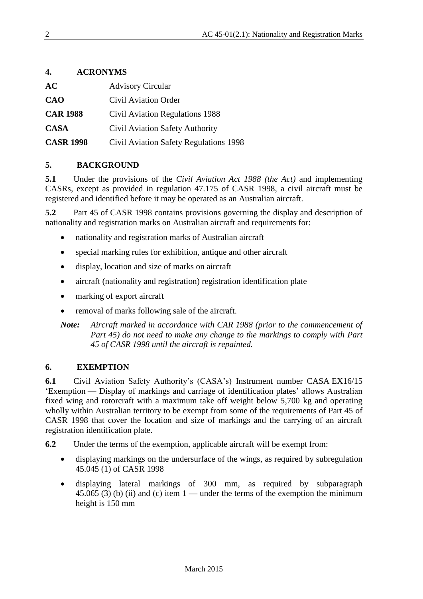# <span id="page-1-0"></span>**4. ACRONYMS**

| AC               | <b>Advisory Circular</b>               |
|------------------|----------------------------------------|
| <b>CAO</b>       | Civil Aviation Order                   |
| <b>CAR 1988</b>  | Civil Aviation Regulations 1988        |
| <b>CASA</b>      | Civil Aviation Safety Authority        |
| <b>CASR 1998</b> | Civil Aviation Safety Regulations 1998 |

## <span id="page-1-1"></span>**5. BACKGROUND**

**5.1** Under the provisions of the *Civil Aviation Act 1988 (the Act)* and implementing CASRs, except as provided in regulation 47.175 of CASR 1998, a civil aircraft must be registered and identified before it may be operated as an Australian aircraft.

**5.2** Part 45 of CASR 1998 contains provisions governing the display and description of nationality and registration marks on Australian aircraft and requirements for:

- nationality and registration marks of Australian aircraft
- special marking rules for exhibition, antique and other aircraft
- display, location and size of marks on aircraft
- aircraft (nationality and registration) registration identification plate
- marking of export aircraft
- removal of marks following sale of the aircraft.

*Note: Aircraft marked in accordance with CAR 1988 (prior to the commencement of Part 45) do not need to make any change to the markings to comply with Part 45 of CASR 1998 until the aircraft is repainted.*

### <span id="page-1-2"></span>**6. EXEMPTION**

**6.1** Civil Aviation Safety Authority's (CASA's) Instrument number CASA EX16/15 'Exemption — Display of markings and carriage of identification plates' allows Australian fixed wing and rotorcraft with a maximum take off weight below 5,700 kg and operating wholly within Australian territory to be exempt from some of the requirements of Part 45 of CASR 1998 that cover the location and size of markings and the carrying of an aircraft registration identification plate.

**6.2** Under the terms of the exemption, applicable aircraft will be exempt from:

- displaying markings on the undersurface of the wings, as required by subregulation 45.045 (1) of CASR 1998
- displaying lateral markings of 300 mm, as required by subparagraph 45.065 (3) (b) (ii) and (c) item  $1$  — under the terms of the exemption the minimum height is 150 mm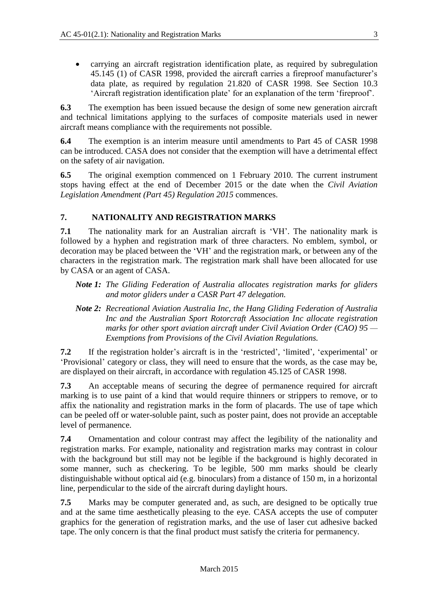carrying an aircraft registration identification plate, as required by subregulation 45.145 (1) of CASR 1998, provided the aircraft carries a fireproof manufacturer's data plate, as required by regulation 21.820 of CASR 1998. See Section [10.3](#page-4-1) 'Aircraft registration identification plate' for an explanation of the term 'fireproof'.

**6.3** The exemption has been issued because the design of some new generation aircraft and technical limitations applying to the surfaces of composite materials used in newer aircraft means compliance with the requirements not possible.

**6.4** The exemption is an interim measure until amendments to Part 45 of CASR 1998 can be introduced. CASA does not consider that the exemption will have a detrimental effect on the safety of air navigation.

**6.5** The original exemption commenced on 1 February 2010. The current instrument stops having effect at the end of December 2015 or the date when the *Civil Aviation Legislation Amendment (Part 45) Regulation 2015* commences.

# <span id="page-2-0"></span>**7. NATIONALITY AND REGISTRATION MARKS**

**7.1** The nationality mark for an Australian aircraft is 'VH'. The nationality mark is followed by a hyphen and registration mark of three characters. No emblem, symbol, or decoration may be placed between the 'VH' and the registration mark, or between any of the characters in the registration mark. The registration mark shall have been allocated for use by CASA or an agent of CASA.

- *Note 1: The Gliding Federation of Australia allocates registration marks for gliders and motor gliders under a CASR Part 47 delegation.*
- *Note 2: Recreational Aviation Australia Inc, the Hang Gliding Federation of Australia Inc and the Australian Sport Rotorcraft Association Inc allocate registration marks for other sport aviation aircraft under Civil Aviation Order (CAO) 95 — Exemptions from Provisions of the Civil Aviation Regulations.*

**7.2** If the registration holder's aircraft is in the 'restricted', 'limited', 'experimental' or 'Provisional' category or class, they will need to ensure that the words, as the case may be, are displayed on their aircraft, in accordance with regulation 45.125 of CASR 1998.

**7.3** An acceptable means of securing the degree of permanence required for aircraft marking is to use paint of a kind that would require thinners or strippers to remove, or to affix the nationality and registration marks in the form of placards. The use of tape which can be peeled off or water-soluble paint, such as poster paint, does not provide an acceptable level of permanence.

**7.4** Ornamentation and colour contrast may affect the legibility of the nationality and registration marks. For example, nationality and registration marks may contrast in colour with the background but still may not be legible if the background is highly decorated in some manner, such as checkering. To be legible, 500 mm marks should be clearly distinguishable without optical aid (e.g. binoculars) from a distance of 150 m, in a horizontal line, perpendicular to the side of the aircraft during daylight hours.

**7.5** Marks may be computer generated and, as such, are designed to be optically true and at the same time aesthetically pleasing to the eye. CASA accepts the use of computer graphics for the generation of registration marks, and the use of laser cut adhesive backed tape. The only concern is that the final product must satisfy the criteria for permanency.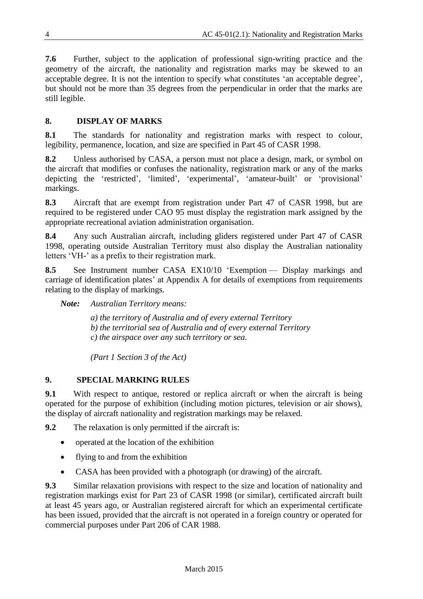**7.6** Further, subject to the application of professional sign-writing practice and the geometry of the aircraft, the nationality and registration marks may be skewed to an acceptable degree. It is not the intention to specify what constitutes 'an acceptable degree', but should not be more than 35 degrees from the perpendicular in order that the marks are still legible.

# <span id="page-3-0"></span>**8. DISPLAY OF MARKS**

**8.1** The standards for nationality and registration marks with respect to colour, legibility, permanence, location, and size are specified in Part 45 of CASR 1998.

**8.2** Unless authorised by CASA, a person must not place a design, mark, or symbol on the aircraft that modifies or confuses the nationality, registration mark or any of the marks depicting the 'restricted', 'limited', 'experimental', 'amateur-built' or 'provisional' markings.

**8.3** Aircraft that are exempt from registration under Part 47 of CASR 1998, but are required to be registered under CAO 95 must display the registration mark assigned by the appropriate recreational aviation administration organisation.

**8.4** Any such Australian aircraft, including gliders registered under Part 47 of CASR 1998, operating outside Australian Territory must also display the Australian nationality letters 'VH-' as a prefix to their registration mark.

**8.5** See Instrument number CASA EX10/10 'Exemption — Display markings and carriage of identification plates' at Appendix A for details of exemptions from requirements relating to the display of markings.

*Note: Australian Territory means:*

*a) the territory of Australia and of every external Territory b) the territorial sea of Australia and of every external Territory c) the airspace over any such territory or sea.*

*(Part 1 Section 3 of the Act)*

# <span id="page-3-1"></span>**9. SPECIAL MARKING RULES**

**9.1** With respect to antique, restored or replica aircraft or when the aircraft is being operated for the purpose of exhibition (including motion pictures, television or air shows), the display of aircraft nationality and registration markings may be relaxed.

**9.2** The relaxation is only permitted if the aircraft is:

- operated at the location of the exhibition
- flying to and from the exhibition
- CASA has been provided with a photograph (or drawing) of the aircraft.

**9.3** Similar relaxation provisions with respect to the size and location of nationality and registration markings exist for Part 23 of CASR 1998 (or similar), certificated aircraft built at least 45 years ago, or Australian registered aircraft for which an experimental certificate has been issued, provided that the aircraft is not operated in a foreign country or operated for commercial purposes under Part 206 of CAR 1988.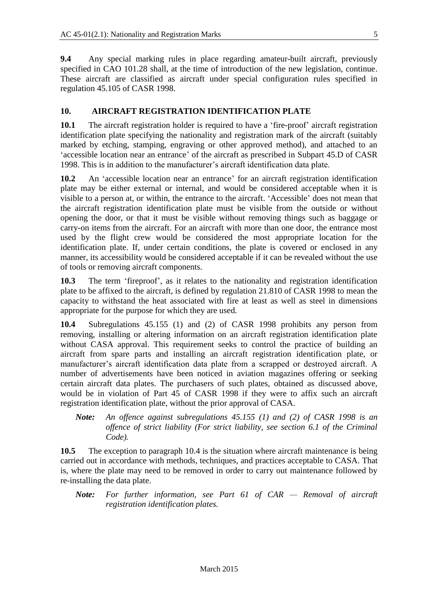**9.4** Any special marking rules in place regarding amateur-built aircraft, previously specified in CAO 101.28 shall, at the time of introduction of the new legislation, continue. These aircraft are classified as aircraft under special configuration rules specified in regulation 45.105 of CASR 1998.

### <span id="page-4-0"></span>**10. AIRCRAFT REGISTRATION IDENTIFICATION PLATE**

**10.1** The aircraft registration holder is required to have a 'fire-proof' aircraft registration identification plate specifying the nationality and registration mark of the aircraft (suitably marked by etching, stamping, engraving or other approved method), and attached to an 'accessible location near an entrance' of the aircraft as prescribed in Subpart 45.D of CASR 1998. This is in addition to the manufacturer's aircraft identification data plate.

**10.2** An 'accessible location near an entrance' for an aircraft registration identification plate may be either external or internal, and would be considered acceptable when it is visible to a person at, or within, the entrance to the aircraft. 'Accessible' does not mean that the aircraft registration identification plate must be visible from the outside or without opening the door, or that it must be visible without removing things such as baggage or carry-on items from the aircraft. For an aircraft with more than one door, the entrance most used by the flight crew would be considered the most appropriate location for the identification plate. If, under certain conditions, the plate is covered or enclosed in any manner, its accessibility would be considered acceptable if it can be revealed without the use of tools or removing aircraft components.

<span id="page-4-1"></span>**10.3** The term 'fireproof', as it relates to the nationality and registration identification plate to be affixed to the aircraft, is defined by regulation 21.810 of CASR 1998 to mean the capacity to withstand the heat associated with fire at least as well as steel in dimensions appropriate for the purpose for which they are used.

**10.4** Subregulations 45.155 (1) and (2) of CASR 1998 prohibits any person from removing, installing or altering information on an aircraft registration identification plate without CASA approval. This requirement seeks to control the practice of building an aircraft from spare parts and installing an aircraft registration identification plate, or manufacturer's aircraft identification data plate from a scrapped or destroyed aircraft. A number of advertisements have been noticed in aviation magazines offering or seeking certain aircraft data plates. The purchasers of such plates, obtained as discussed above, would be in violation of Part 45 of CASR 1998 if they were to affix such an aircraft registration identification plate, without the prior approval of CASA.

*Note: An offence against subregulations 45.155 (1) and (2) of CASR 1998 is an offence of strict liability (For strict liability, see section 6.1 of the Criminal Code).*

**10.5** The exception to paragraph 10.4 is the situation where aircraft maintenance is being carried out in accordance with methods, techniques, and practices acceptable to CASA. That is, where the plate may need to be removed in order to carry out maintenance followed by re-installing the data plate.

*Note: For further information, see Part 61 of CAR — Removal of aircraft registration identification plates.*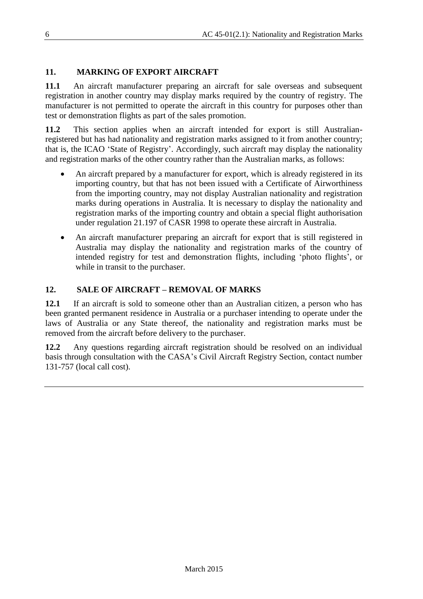# <span id="page-5-0"></span>**11. MARKING OF EXPORT AIRCRAFT**

**11.1** An aircraft manufacturer preparing an aircraft for sale overseas and subsequent registration in another country may display marks required by the country of registry. The manufacturer is not permitted to operate the aircraft in this country for purposes other than test or demonstration flights as part of the sales promotion.

**11.2** This section applies when an aircraft intended for export is still Australianregistered but has had nationality and registration marks assigned to it from another country; that is, the ICAO 'State of Registry'. Accordingly, such aircraft may display the nationality and registration marks of the other country rather than the Australian marks, as follows:

- An aircraft prepared by a manufacturer for export, which is already registered in its importing country, but that has not been issued with a Certificate of Airworthiness from the importing country, may not display Australian nationality and registration marks during operations in Australia. It is necessary to display the nationality and registration marks of the importing country and obtain a special flight authorisation under regulation 21.197 of CASR 1998 to operate these aircraft in Australia.
- An aircraft manufacturer preparing an aircraft for export that is still registered in Australia may display the nationality and registration marks of the country of intended registry for test and demonstration flights, including 'photo flights', or while in transit to the purchaser.

# <span id="page-5-1"></span>**12. SALE OF AIRCRAFT – REMOVAL OF MARKS**

**12.1** If an aircraft is sold to someone other than an Australian citizen, a person who has been granted permanent residence in Australia or a purchaser intending to operate under the laws of Australia or any State thereof, the nationality and registration marks must be removed from the aircraft before delivery to the purchaser.

**12.2** Any questions regarding aircraft registration should be resolved on an individual basis through consultation with the CASA's Civil Aircraft Registry Section, contact number 131-757 (local call cost).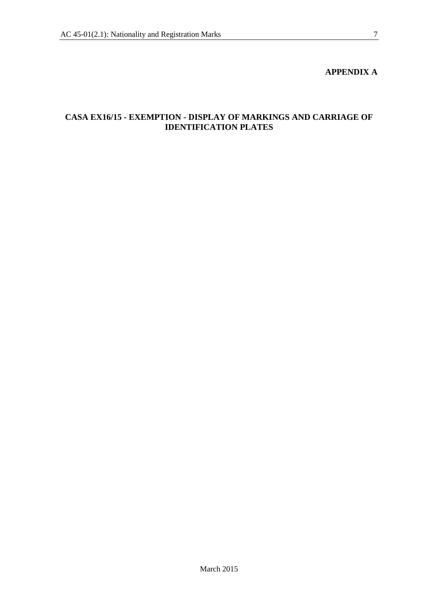### **APPENDIX A**

# <span id="page-6-1"></span><span id="page-6-0"></span>**CASA EX16/15 - EXEMPTION - DISPLAY OF MARKINGS AND CARRIAGE OF IDENTIFICATION PLATES**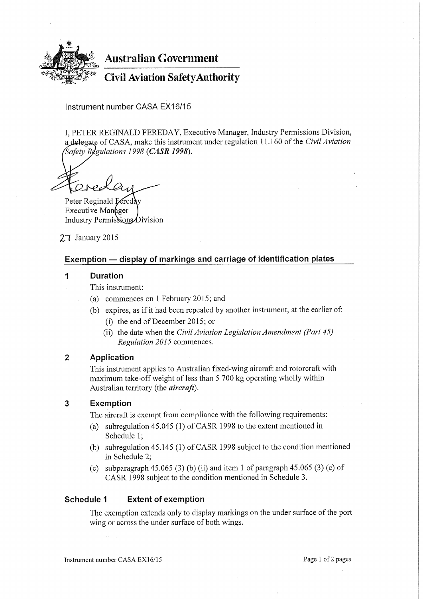

**Australian Government** 

**Civil Aviation Safety Authority** 

Instrument number CASA EX16/15

I, PETER REGINALD FEREDAY, Executive Manager, Industry Permissions Division, a delegate of CASA, make this instrument under regulation 11.160 of the Civil Aviation Safety Regulations 1998 (CASR 1998).

Peter Reginald Ecreday Executive Manager Industry Permissions Division

27 January 2015

## Exemption - display of markings and carriage of identification plates

#### 1 **Duration**

This instrument:

- (a) commences on 1 February 2015; and
- (b) expires, as if it had been repealed by another instrument, at the earlier of:
	- (i) the end of December 2015; or
	- (ii) the date when the *Civil Aviation Legislation Amendment* (Part  $45$ ) Regulation 2015 commences.

#### $\overline{2}$ Application

This instrument applies to Australian fixed-wing aircraft and rotorcraft with maximum take-off weight of less than 5 700 kg operating wholly within Australian territory (the *aircraft*).

#### $\overline{3}$ **Exemption**

The aircraft is exempt from compliance with the following requirements:

- (a) subregulation 45.045 (1) of CASR 1998 to the extent mentioned in Schedule 1;
- (b) subregulation  $45.145(1)$  of CASR 1998 subject to the condition mentioned in Schedule 2:
- (c) subparagraph 45.065 (3) (b) (ii) and item 1 of paragraph 45.065 (3) (c) of CASR 1998 subject to the condition mentioned in Schedule 3.

#### Schedule 1 **Extent of exemption**

The exemption extends only to display markings on the under surface of the port wing or across the under surface of both wings.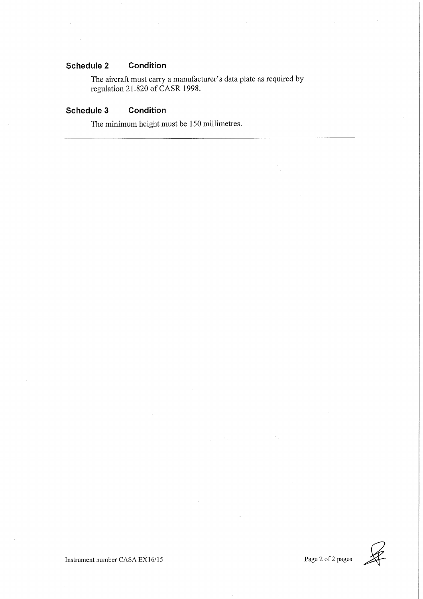#### Schedule 2 Condition

The aircraft must carry a manufacturer's data plate as required by regulation 21.820 of CASR 1998.

#### Schedule 3 Condition

The minimum height must be 150 millimetres.

Instrument number CASA EX16/15

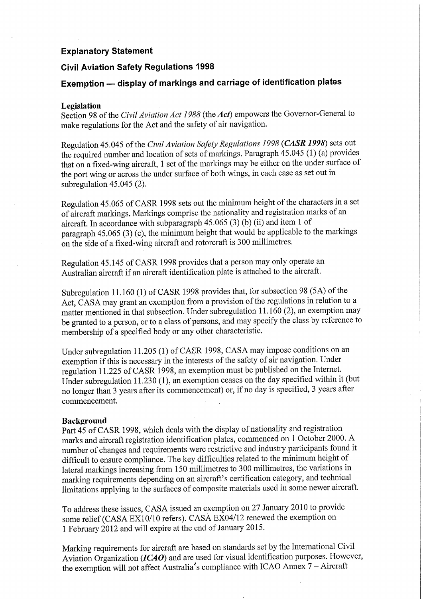### **Explanatory Statement**

## **Civil Aviation Safety Regulations 1998**

# Exemption - display of markings and carriage of identification plates

### Legislation

Section 98 of the Civil Aviation Act 1988 (the Act) empowers the Governor-General to make regulations for the Act and the safety of air navigation.

Regulation 45.045 of the Civil Aviation Safety Regulations 1998 (CASR 1998) sets out the required number and location of sets of markings. Paragraph 45.045 (1) (a) provides that on a fixed-wing aircraft, 1 set of the markings may be either on the under surface of the port wing or across the under surface of both wings, in each case as set out in subregulation  $45.045(2)$ .

Regulation 45.065 of CASR 1998 sets out the minimum height of the characters in a set of aircraft markings. Markings comprise the nationality and registration marks of an aircraft. In accordance with subparagraph 45.065 (3) (b) (ii) and item 1 of paragraph 45.065 (3) (c), the minimum height that would be applicable to the markings on the side of a fixed-wing aircraft and rotorcraft is 300 millimetres.

Regulation 45.145 of CASR 1998 provides that a person may only operate an Australian aircraft if an aircraft identification plate is attached to the aircraft.

Subregulation 11.160 (1) of CASR 1998 provides that, for subsection 98 (5A) of the Act, CASA may grant an exemption from a provision of the regulations in relation to a matter mentioned in that subsection. Under subregulation 11.160 (2), an exemption may be granted to a person, or to a class of persons, and may specify the class by reference to membership of a specified body or any other characteristic.

Under subregulation 11.205 (1) of CASR 1998, CASA may impose conditions on an exemption if this is necessary in the interests of the safety of air navigation. Under regulation 11.225 of CASR 1998, an exemption must be published on the Internet. Under subregulation 11.230 (1), an exemption ceases on the day specified within it (but no longer than 3 years after its commencement) or, if no day is specified, 3 years after commencement.

### **Background**

Part 45 of CASR 1998, which deals with the display of nationality and registration marks and aircraft registration identification plates, commenced on 1 October 2000. A number of changes and requirements were restrictive and industry participants found it difficult to ensure compliance. The key difficulties related to the minimum height of lateral markings increasing from 150 millimetres to 300 millimetres, the variations in marking requirements depending on an aircraft's certification category, and technical limitations applying to the surfaces of composite materials used in some newer aircraft.

To address these issues, CASA issued an exemption on 27 January 2010 to provide some relief (CASA EX10/10 refers). CASA EX04/12 renewed the exemption on 1 February 2012 and will expire at the end of January 2015.

Marking requirements for aircraft are based on standards set by the International Civil Aviation Organization ( $ICAO$ ) and are used for visual identification purposes. However, the exemption will not affect Australia's compliance with ICAO Annex  $7 -$  Aircraft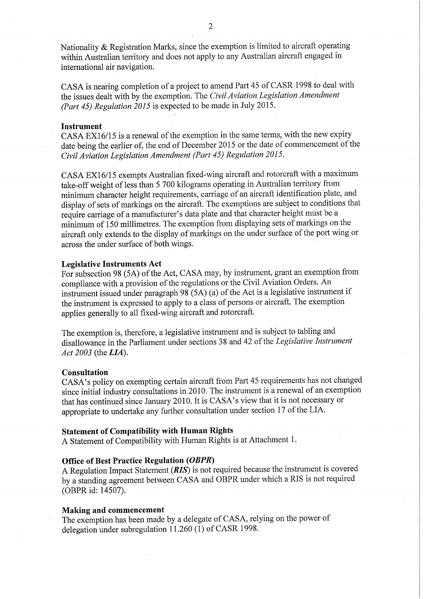Nationality & Registration Marks, since the exemption is limited to aircraft operating within Australian territory and does not apply to any Australian aircraft engaged in international air navigation.

CASA is nearing completion of a project to amend Part 45 of CASR 1998 to deal with the issues dealt with by the exemption. The Civil Aviation Legislation Amendment (Part 45) Regulation 2015 is expected to be made in July 2015.

### **Instrument**

CASA EX16/15 is a renewal of the exemption in the same terms, with the new expiry date being the earlier of, the end of December 2015 or the date of commencement of the Civil Aviation Legislation Amendment (Part 45) Regulation 2015.

CASA EX16/15 exempts Australian fixed-wing aircraft and rotorcraft with a maximum take-off weight of less than 5 700 kilograms operating in Australian territory from minimum character height requirements, carriage of an aircraft identification plate, and display of sets of markings on the aircraft. The exemptions are subject to conditions that require carriage of a manufacturer's data plate and that character height must be a minimum of 150 millimetres. The exemption from displaying sets of markings on the aircraft only extends to the display of markings on the under surface of the port wing or across the under surface of both wings.

### **Legislative Instruments Act**

For subsection 98 (5A) of the Act, CASA may, by instrument, grant an exemption from compliance with a provision of the regulations or the Civil Aviation Orders. An instrument issued under paragraph  $98(5A)(a)$  of the Act is a legislative instrument if the instrument is expressed to apply to a class of persons or aircraft. The exemption applies generally to all fixed-wing aircraft and rotorcraft.

The exemption is, therefore, a legislative instrument and is subject to tabling and disallowance in the Parliament under sections 38 and 42 of the Legislative Instrument Act 2003 (the LIA).

### Consultation

CASA's policy on exempting certain aircraft from Part 45 requirements has not changed since initial industry consultations in 2010. The instrument is a renewal of an exemption that has continued since January 2010. It is CASA's view that it is not necessary or appropriate to undertake any further consultation under section 17 of the LIA.

### **Statement of Compatibility with Human Rights**

A Statement of Compatibility with Human Rights is at Attachment 1.

### **Office of Best Practice Regulation (OBPR)**

A Regulation Impact Statement (RIS) is not required because the instrument is covered by a standing agreement between CASA and OBPR under which a RIS is not required (OBPR id: 14507).

### Making and commencement

The exemption has been made by a delegate of CASA, relying on the power of delegation under subregulation 11.260 (1) of CASR 1998.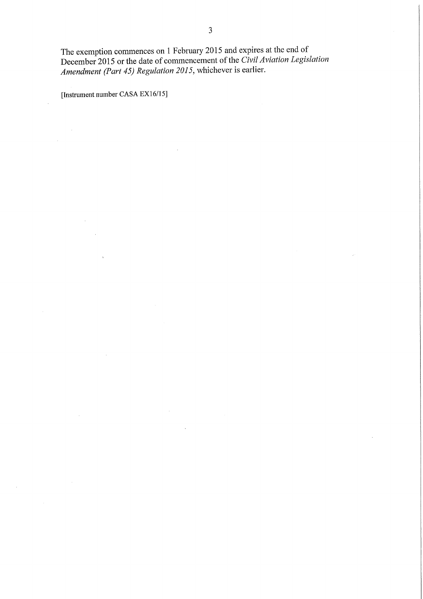J.

The exemption commences on 1 February 2015 and expires at the end of December 2015 or the date of commencement of the Civil Aviation Legislation Amendment (Part 45) Regulation 2015, whichever is earlier.

 $\sim$ 

 $\mathcal{A}$ 

[Instrument number CASA EX16/15]

 $\hat{\mathcal{A}}$ 

 $\sim 10^{-1}$ 

 $\bar{\tau}$ 

 $\bar{z}$ 

 $\bar{z}$ 

 $\sim 10^7$ 

 $\mathcal{A}^{\text{max}}$